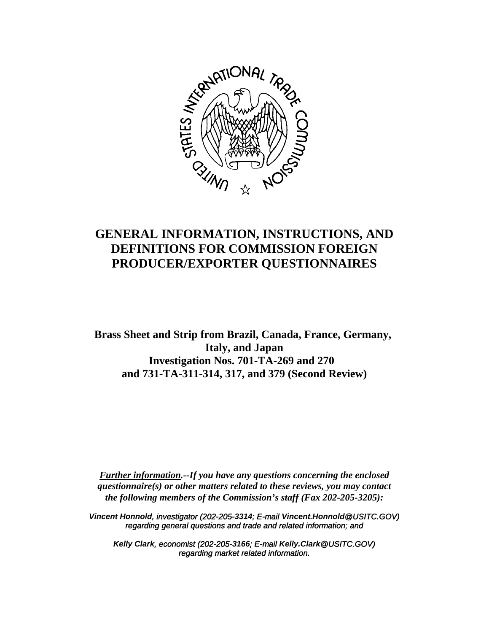

# **GENERAL INFORMATION, INSTRUCTIONS, AND DEFINITIONS FOR COMMISSION FOREIGN PRODUCER/EXPORTER QUESTIONNAIRES**

**Brass Sheet and Strip from Brazil, Canada, France, Germany, Italy, and Japan Investigation Nos. 701-TA-269 and 270 and 731-TA-311-314, 317, and 379 (Second Review)**

*Further information.--If you have any questions concerning the enclosed questionnaire(s) or other matters related to these reviews, you may contact the following members of the Commission's staff (Fax 202-205-3205):*

*Vincent Honnold, investigator (202-205-3314; E-mail Vincent.Honnold@USITC.GOV) regarding general questions and trade and related information; and*

*Kelly Clark, economist (202-205-3166; E-mail Kelly.Clark@USITC.GOV) regarding market related information.*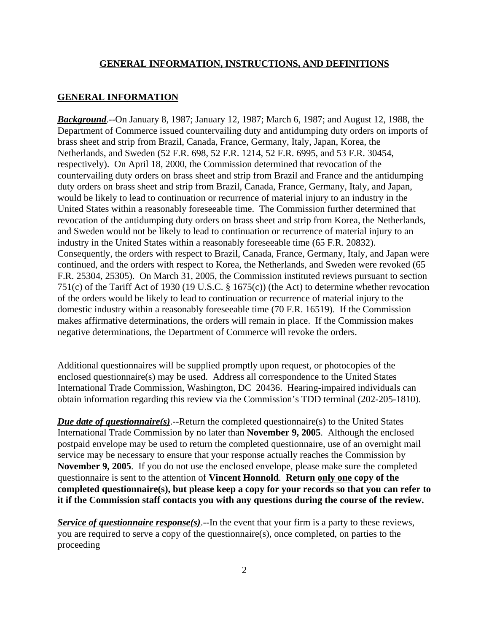#### **GENERAL INFORMATION, INSTRUCTIONS, AND DEFINITIONS**

#### **GENERAL INFORMATION**

*Background*.--On January 8, 1987; January 12, 1987; March 6, 1987; and August 12, 1988, the Department of Commerce issued countervailing duty and antidumping duty orders on imports of brass sheet and strip from Brazil, Canada, France, Germany, Italy, Japan, Korea, the Netherlands, and Sweden (52 F.R. 698, 52 F.R. 1214, 52 F.R. 6995, and 53 F.R. 30454, respectively). On April 18, 2000, the Commission determined that revocation of the countervailing duty orders on brass sheet and strip from Brazil and France and the antidumping duty orders on brass sheet and strip from Brazil, Canada, France, Germany, Italy, and Japan, would be likely to lead to continuation or recurrence of material injury to an industry in the United States within a reasonably foreseeable time. The Commission further determined that revocation of the antidumping duty orders on brass sheet and strip from Korea, the Netherlands, and Sweden would not be likely to lead to continuation or recurrence of material injury to an industry in the United States within a reasonably foreseeable time (65 F.R. 20832). Consequently, the orders with respect to Brazil, Canada, France, Germany, Italy, and Japan were continued, and the orders with respect to Korea, the Netherlands, and Sweden were revoked (65 F.R. 25304, 25305). On March 31, 2005, the Commission instituted reviews pursuant to section 751(c) of the Tariff Act of 1930 (19 U.S.C. § 1675(c)) (the Act) to determine whether revocation of the orders would be likely to lead to continuation or recurrence of material injury to the domestic industry within a reasonably foreseeable time (70 F.R. 16519). If the Commission makes affirmative determinations, the orders will remain in place. If the Commission makes negative determinations, the Department of Commerce will revoke the orders.

Additional questionnaires will be supplied promptly upon request, or photocopies of the enclosed questionnaire(s) may be used. Address all correspondence to the United States International Trade Commission, Washington, DC 20436. Hearing-impaired individuals can obtain information regarding this review via the Commission's TDD terminal (202-205-1810).

*Due date of questionnaire(s)*.--Return the completed questionnaire(s) to the United States International Trade Commission by no later than **November 9, 2005**. Although the enclosed postpaid envelope may be used to return the completed questionnaire, use of an overnight mail service may be necessary to ensure that your response actually reaches the Commission by **November 9, 2005**. If you do not use the enclosed envelope, please make sure the completed questionnaire is sent to the attention of **Vincent Honnold**. **Return only one copy of the completed questionnaire(s), but please keep a copy for your records so that you can refer to it if the Commission staff contacts you with any questions during the course of the review.**

*Service of questionnaire response(s)*.--In the event that your firm is a party to these reviews, you are required to serve a copy of the questionnaire(s), once completed, on parties to the proceeding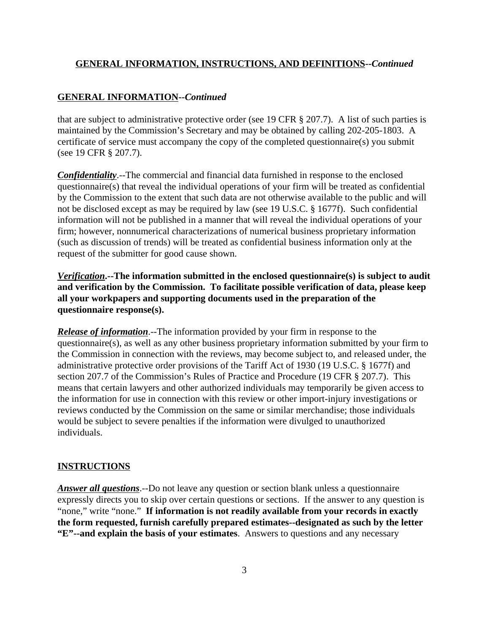#### **GENERAL INFORMATION, INSTRUCTIONS, AND DEFINITIONS--***Continued*

### **GENERAL INFORMATION--***Continued*

that are subject to administrative protective order (see 19 CFR § 207.7). A list of such parties is maintained by the Commission's Secretary and may be obtained by calling 202-205-1803. A certificate of service must accompany the copy of the completed questionnaire(s) you submit (see 19 CFR § 207.7).

*Confidentiality*.--The commercial and financial data furnished in response to the enclosed questionnaire(s) that reveal the individual operations of your firm will be treated as confidential by the Commission to the extent that such data are not otherwise available to the public and will not be disclosed except as may be required by law (see 19 U.S.C. § 1677f). Such confidential information will not be published in a manner that will reveal the individual operations of your firm; however, nonnumerical characterizations of numerical business proprietary information (such as discussion of trends) will be treated as confidential business information only at the request of the submitter for good cause shown.

*Verification***.--The information submitted in the enclosed questionnaire(s) is subject to audit and verification by the Commission. To facilitate possible verification of data, please keep all your workpapers and supporting documents used in the preparation of the questionnaire response(s).**

*Release of information*.--The information provided by your firm in response to the questionnaire(s), as well as any other business proprietary information submitted by your firm to the Commission in connection with the reviews, may become subject to, and released under, the administrative protective order provisions of the Tariff Act of 1930 (19 U.S.C. § 1677f) and section 207.7 of the Commission's Rules of Practice and Procedure (19 CFR § 207.7). This means that certain lawyers and other authorized individuals may temporarily be given access to the information for use in connection with this review or other import-injury investigations or reviews conducted by the Commission on the same or similar merchandise; those individuals would be subject to severe penalties if the information were divulged to unauthorized individuals.

#### **INSTRUCTIONS**

*Answer all questions*.--Do not leave any question or section blank unless a questionnaire expressly directs you to skip over certain questions or sections. If the answer to any question is "none," write "none." **If information is not readily available from your records in exactly the form requested, furnish carefully prepared estimates--designated as such by the letter "E"--and explain the basis of your estimates**. Answers to questions and any necessary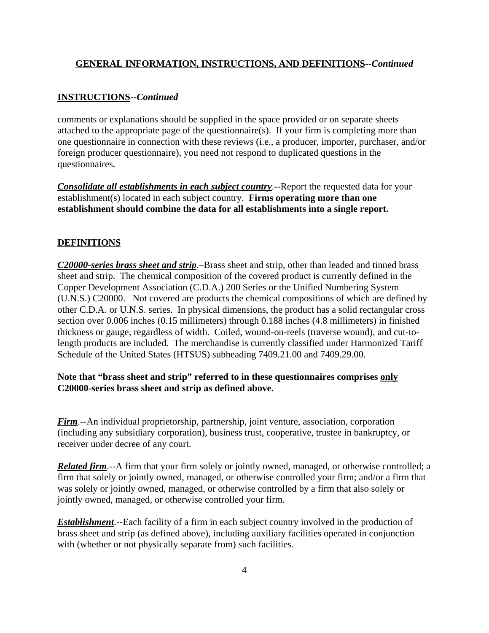### **GENERAL INFORMATION, INSTRUCTIONS, AND DEFINITIONS--***Continued*

#### **INSTRUCTIONS--***Continued*

comments or explanations should be supplied in the space provided or on separate sheets attached to the appropriate page of the questionnaire(s). If your firm is completing more than one questionnaire in connection with these reviews (i.e., a producer, importer, purchaser, and/or foreign producer questionnaire), you need not respond to duplicated questions in the questionnaires.

*Consolidate all establishments in each subject country*.--Report the requested data for your establishment(s) located in each subject country. **Firms operating more than one establishment should combine the data for all establishments into a single report.**

#### **DEFINITIONS**

*C20000-series brass sheet and strip*.–Brass sheet and strip, other than leaded and tinned brass sheet and strip. The chemical composition of the covered product is currently defined in the Copper Development Association (C.D.A.) 200 Series or the Unified Numbering System (U.N.S.) C20000. Not covered are products the chemical compositions of which are defined by other C.D.A. or U.N.S. series. In physical dimensions, the product has a solid rectangular cross section over 0.006 inches (0.15 millimeters) through 0.188 inches (4.8 millimeters) in finished thickness or gauge, regardless of width. Coiled, wound-on-reels (traverse wound), and cut-tolength products are included. The merchandise is currently classified under Harmonized Tariff Schedule of the United States (HTSUS) subheading 7409.21.00 and 7409.29.00.

### **Note that "brass sheet and strip" referred to in these questionnaires comprises only C20000-series brass sheet and strip as defined above.**

*Firm*.--An individual proprietorship, partnership, joint venture, association, corporation (including any subsidiary corporation), business trust, cooperative, trustee in bankruptcy, or receiver under decree of any court.

*Related firm.*--A firm that your firm solely or jointly owned, managed, or otherwise controlled; a firm that solely or jointly owned, managed, or otherwise controlled your firm; and/or a firm that was solely or jointly owned, managed, or otherwise controlled by a firm that also solely or jointly owned, managed, or otherwise controlled your firm.

*Establishment*.--Each facility of a firm in each subject country involved in the production of brass sheet and strip (as defined above), including auxiliary facilities operated in conjunction with (whether or not physically separate from) such facilities.